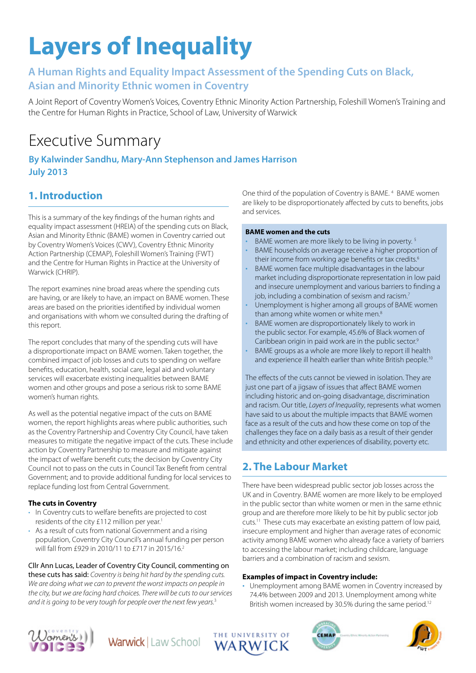# **Layers of Inequality**

# **A Human Rights and Equality Impact Assessment of the Spending Cuts on Black, Asian and Minority Ethnic women in Coventry**

A Joint Report of Coventry Women's Voices, Coventry Ethnic Minority Action Partnership, Foleshill Women's Training and the Centre for Human Rights in Practice, School of Law, University of Warwick

# Executive Summary

## **By Kalwinder Sandhu, Mary-Ann Stephenson and James Harrison July 2013**

# **1. Introduction**

This is a summary of the key findings of the human rights and equality impact assessment (HREIA) of the spending cuts on Black, Asian and Minority Ethnic (BAME) women in Coventry carried out by Coventry Women's Voices (CWV), Coventry Ethnic Minority Action Partnership (CEMAP), Foleshill Women's Training (FWT) and the Centre for Human Rights in Practice at the University of Warwick (CHRIP).

The report examines nine broad areas where the spending cuts are having, or are likely to have, an impact on BAME women. These areas are based on the priorities identified by individual women and organisations with whom we consulted during the drafting of this report.

The report concludes that many of the spending cuts will have a disproportionate impact on BAME women. Taken together, the combined impact of job losses and cuts to spending on welfare benefits, education, health, social care, legal aid and voluntary services will exacerbate existing inequalities between BAME women and other groups and pose a serious risk to some BAME women's human rights.

As well as the potential negative impact of the cuts on BAME women, the report highlights areas where public authorities, such as the Coventry Partnership and Coventry City Council, have taken measures to mitigate the negative impact of the cuts. These include action by Coventry Partnership to measure and mitigate against the impact of welfare benefit cuts; the decision by Coventry City Council not to pass on the cuts in Council Tax Benefit from central Government; and to provide additional funding for local services to replace funding lost from Central Government.

#### **The cuts in Coventry**

- In Coventry cuts to welfare benefits are projected to cost residents of the city £112 million per year.<sup>1</sup>
- As a result of cuts from national Government and a rising population, Coventry City Council's annual funding per person will fall from £929 in 2010/11 to £717 in 2015/16.<sup>2</sup>

#### Cllr Ann Lucas, Leader of Coventry City Council, commenting on

these cuts has said: Coventry is being hit hard by the spending cuts. We are doing what we can to prevent the worst impacts on people in the city, but we are facing hard choices. There will be cuts to our services and it is going to be very tough for people over the next few years.<sup>3</sup>

One third of the population of Coventry is BAME.<sup>4</sup> BAME women are likely to be disproportionately affected by cuts to benefits, jobs and services.

#### **BAME women and the cuts**

- BAME women are more likely to be living in poverty.<sup>5</sup>
- BAME households on average receive a higher proportion of their income from working age benefits or tax credits.<sup>6</sup>
- BAME women face multiple disadvantages in the labour market including disproportionate representation in low paid and insecure unemployment and various barriers to finding a job, including a combination of sexism and racism.<sup>7</sup>
- Unemployment is higher among all groups of BAME women than among white women or white men.<sup>8</sup>
- BAME women are disproportionately likely to work in the public sector. For example, 45.6% of Black women of Caribbean origin in paid work are in the public sector.<sup>9</sup>
- BAME groups as a whole are more likely to report ill health and experience ill health earlier than white British people.<sup>10</sup>

The effects of the cuts cannot be viewed in isolation. They are just one part of a jigsaw of issues that affect BAME women including historic and on-going disadvantage, discrimination and racism. Our title, Layers of Inequality, represents what women have said to us about the multiple impacts that BAME women face as a result of the cuts and how these come on top of the challenges they face on a daily basis as a result of their gender and ethnicity and other experiences of disability, poverty etc.

# **2. The Labour Market**

There have been widespread public sector job losses across the UK and in Coventry. BAME women are more likely to be employed in the public sector than white women or men in the same ethnic group and are therefore more likely to be hit by public sector job cuts.11 These cuts may exacerbate an existing pattern of low paid, insecure employment and higher than average rates of economic activity among BAME women who already face a variety of barriers to accessing the labour market; including childcare, language barriers and a combination of racism and sexism.

#### **Examples of impact in Coventry include:**

• Unemployment among BAME women in Coventry increased by 74.4% between 2009 and 2013. Unemployment among white British women increased by 30.5% during the same period.<sup>12</sup>









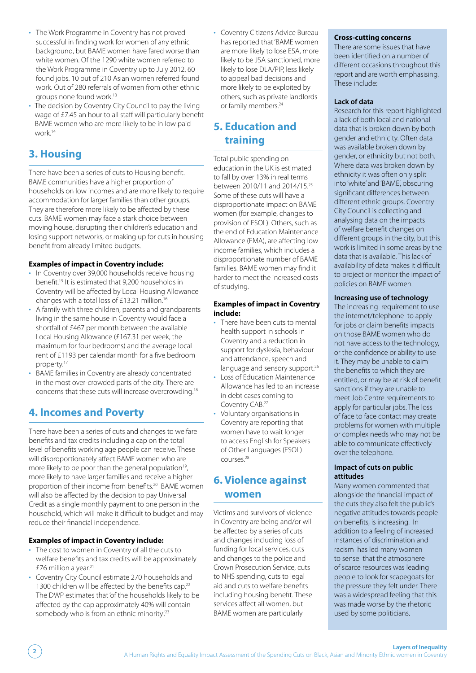- The Work Programme in Coventry has not proved successful in finding work for women of any ethnic background, but BAME women have fared worse than white women. Of the 1290 white women referred to the Work Programme in Coventry up to July 2012, 60 found jobs. 10 out of 210 Asian women referred found work. Out of 280 referrals of women from other ethnic groups none found work.13
- The decision by Coventry City Council to pay the living wage of £7.45 an hour to all staff will particularly benefit BAME women who are more likely to be in low paid work.14

# **3. Housing**

There have been a series of cuts to Housing benefit. BAME communities have a higher proportion of households on low incomes and are more likely to require accommodation for larger families than other groups. They are therefore more likely to be affected by these cuts. BAME women may face a stark choice between moving house, disrupting their children's education and losing support networks, or making up for cuts in housing benefit from already limited budgets.

#### **Examples of impact in Coventry include:**

- In Coventry over 39,000 households receive housing benefit.<sup>15</sup> It is estimated that 9,200 households in Coventry will be affected by Local Housing Allowance changes with a total loss of £13.21 million.16
- A family with three children, parents and grandparents living in the same house in Coventry would face a shortfall of £467 per month between the available Local Housing Allowance (£167.31 per week, the maximum for four bedrooms) and the average local rent of £1193 per calendar month for a five bedroom property.17
- BAME families in Coventry are already concentrated in the most over-crowded parts of the city. There are concerns that these cuts will increase overcrowding.18

# **4. Incomes and Poverty**

There have been a series of cuts and changes to welfare benefits and tax credits including a cap on the total level of benefits working age people can receive. These will disproportionately affect BAME women who are more likely to be poor than the general population<sup>19</sup>, more likely to have larger families and receive a higher proportion of their income from benefits.<sup>20</sup> BAME women will also be affected by the decision to pay Universal Credit as a single monthly payment to one person in the household, which will make it difficult to budget and may reduce their financial independence.

#### **Examples of impact in Coventry include:**

- The cost to women in Coventry of all the cuts to welfare benefits and tax credits will be approximately £76 million a year.21
- Coventry City Council estimate 270 households and 1300 children will be affected by the benefits cap.<sup>22</sup> The DWP estimates that 'of the households likely to be affected by the cap approximately 40% will contain somebody who is from an ethnic minority'.<sup>23</sup>

• Coventry Citizens Advice Bureau has reported that 'BAME women are more likely to lose ESA, more likely to be JSA sanctioned, more likely to lose DLA/PIP, less likely to appeal bad decisions and more likely to be exploited by others, such as private landlords or family members.<sup>24</sup>

# **5. Education and training**

Total public spending on education in the UK is estimated to fall by over 13% in real terms between 2010/11 and 2014/15.25 Some of these cuts will have a disproportionate impact on BAME women (for example, changes to provision of ESOL). Others, such as the end of Education Maintenance Allowance (EMA), are affecting low income families, which includes a disproportionate number of BAME families. BAME women may find it harder to meet the increased costs of studying.

#### **Examples of impact in Coventry include:**

- There have been cuts to mental health support in schools in Coventry and a reduction in support for dyslexia, behaviour and attendance, speech and language and sensory support.<sup>26</sup>
- Loss of Education Maintenance Allowance has led to an increase in debt cases coming to Coventry CAB.27
- Voluntary organisations in Coventry are reporting that women have to wait longer to access English for Speakers of Other Languages (ESOL) courses.28

### **6. Violence against women**

Victims and survivors of violence in Coventry are being and/or will be affected by a series of cuts and changes including loss of funding for local services, cuts and changes to the police and Crown Prosecution Service, cuts to NHS spending, cuts to legal aid and cuts to welfare benefits including housing benefit. These services affect all women, but BAME women are particularly

#### **Cross-cutting concerns**

There are some issues that have been identified on a number of different occasions throughout this report and are worth emphasising. These include:

#### **Lack of data**

Research for this report highlighted a lack of both local and national data that is broken down by both gender and ethnicity. Often data was available broken down by gender, or ethnicity but not both. Where data was broken down by ethnicity it was often only split into 'white' and 'BAME', obscuring significant differences between different ethnic groups. Coventry City Council is collecting and analysing data on the impacts of welfare benefit changes on different groups in the city, but this work is limited in some areas by the data that is available. This lack of availability of data makes it difficult to project or monitor the impact of policies on BAME women.

#### **Increasing use of technology**

The increasing requirement to use the internet/telephone to apply for jobs or claim benefits impacts on those BAME women who do not have access to the technology, or the confidence or ability to use it. They may be unable to claim the benefits to which they are entitled, or may be at risk of benefit sanctions if they are unable to meet Job Centre requirements to apply for particular jobs. The loss of face to face contact may create problems for women with multiple or complex needs who may not be able to communicate effectively over the telephone.

#### **Impact of cuts on public attitudes**

Many women commented that alongside the financial impact of the cuts they also felt the public's negative attitudes towards people on benefits, is increasing. In addition to a feeling of increased instances of discrimination and racism has led many women to sense that the atmosphere of scarce resources was leading people to look for scapegoats for the pressure they felt under. There was a widespread feeling that this was made worse by the rhetoric used by some politicians.

**Layers of Inequality**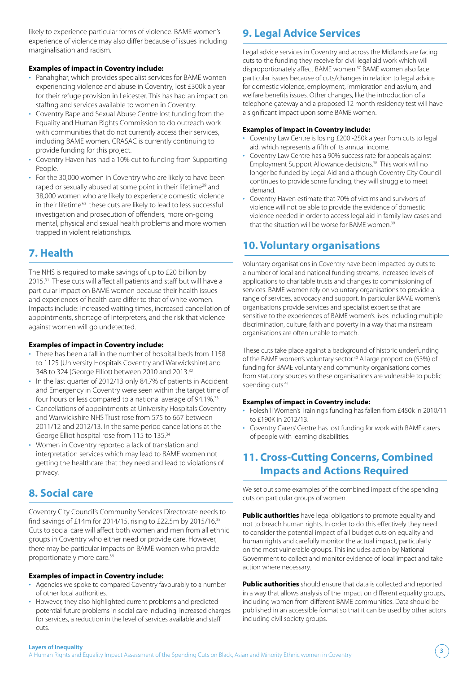likely to experience particular forms of violence. BAME women's experience of violence may also differ because of issues including marginalisation and racism.

#### **Examples of impact in Coventry include:**

- Panahghar, which provides specialist services for BAME women experiencing violence and abuse in Coventry, lost £300k a year for their refuge provision in Leicester. This has had an impact on staffing and services available to women in Coventry.
- Coventry Rape and Sexual Abuse Centre lost funding from the Equality and Human Rights Commission to do outreach work with communities that do not currently access their services, including BAME women. CRASAC is currently continuing to provide funding for this project.
- Coventry Haven has had a 10% cut to funding from Supporting People.
- For the 30,000 women in Coventry who are likely to have been raped or sexually abused at some point in their lifetime<sup>29</sup> and 38,000 women who are likely to experience domestic violence in their lifetime<sup>30</sup> these cuts are likely to lead to less successful investigation and prosecution of offenders, more on-going mental, physical and sexual health problems and more women trapped in violent relationships.

# **7. Health**

The NHS is required to make savings of up to £20 billion by 2015.<sup>31</sup> These cuts will affect all patients and staff but will have a particular impact on BAME women because their health issues and experiences of health care differ to that of white women. Impacts include: increased waiting times, increased cancellation of appointments, shortage of interpreters, and the risk that violence against women will go undetected.

#### **Examples of impact in Coventry include:**

- There has been a fall in the number of hospital beds from 1158 to 1125 (University Hospitals Coventry and Warwickshire) and 348 to 324 (George Elliot) between 2010 and 2013.<sup>32</sup>
- In the last quarter of 2012/13 only 84.7% of patients in Accident and Emergency in Coventry were seen within the target time of four hours or less compared to a national average of 94.1%.<sup>33</sup>
- Cancellations of appointments at University Hospitals Coventry and Warwickshire NHS Trust rose from 575 to 667 between 2011/12 and 2012/13. In the same period cancellations at the George Elliot hospital rose from 115 to 135.34
- Women in Coventry reported a lack of translation and interpretation services which may lead to BAME women not getting the healthcare that they need and lead to violations of privacy.

# **8. Social care**

Coventry City Council's Community Services Directorate needs to find savings of £14m for 2014/15, rising to £22.5m by 2015/16.<sup>35</sup> Cuts to social care will affect both women and men from all ethnic groups in Coventry who either need or provide care. However, there may be particular impacts on BAME women who provide proportionately more care.<sup>36</sup>

#### **Examples of impact in Coventry include:**

- Agencies we spoke to compared Coventry favourably to a number of other local authorities.
- However, they also highlighted current problems and predicted potential future problems in social care including: increased charges for services, a reduction in the level of services available and staff cuts.

# **9. Legal Advice Services**

Legal advice services in Coventry and across the Midlands are facing cuts to the funding they receive for civil legal aid work which will disproportionately affect BAME women.<sup>37</sup> BAME women also face particular issues because of cuts/changes in relation to legal advice for domestic violence, employment, immigration and asylum, and welfare benefits issues. Other changes, like the introduction of a telephone gateway and a proposed 12 month residency test will have a significant impact upon some BAME women.

#### **Examples of impact in Coventry include:**

- Coventry Law Centre is losing £200 -250k a year from cuts to legal aid, which represents a fifth of its annual income.
- Coventry Law Centre has a 90% success rate for appeals against Employment Support Allowance decisions.38 This work will no longer be funded by Legal Aid and although Coventry City Council continues to provide some funding, they will struggle to meet demand.
- Coventry Haven estimate that 70% of victims and survivors of violence will not be able to provide the evidence of domestic violence needed in order to access legal aid in family law cases and that the situation will be worse for BAME women.<sup>39</sup>

# **10. Voluntary organisations**

Voluntary organisations in Coventry have been impacted by cuts to a number of local and national funding streams, increased levels of applications to charitable trusts and changes to commissioning of services. BAME women rely on voluntary organisations to provide a range of services, advocacy and support. In particular BAME women's organisations provide services and specialist expertise that are sensitive to the experiences of BAME women's lives including multiple discrimination, culture, faith and poverty in a way that mainstream organisations are often unable to match.

These cuts take place against a background of historic underfunding of the BAME women's voluntary sector.<sup>40</sup> A large proportion (53%) of funding for BAME voluntary and community organisations comes from statutory sources so these organisations are vulnerable to public spending cuts.<sup>41</sup>

#### **Examples of impact in Coventry include:**

- Foleshill Women's Training's funding has fallen from £450k in 2010/11 to £190K in 2012/13.
- Coventry Carers' Centre has lost funding for work with BAME carers of people with learning disabilities.

# **11. Cross-Cutting Concerns, Combined Impacts and Actions Required**

We set out some examples of the combined impact of the spending cuts on particular groups of women.

**Public authorities** have legal obligations to promote equality and not to breach human rights. In order to do this effectively they need to consider the potential impact of all budget cuts on equality and human rights and carefully monitor the actual impact, particularly on the most vulnerable groups. This includes action by National Government to collect and monitor evidence of local impact and take action where necessary.

**Public authorities** should ensure that data is collected and reported in a way that allows analysis of the impact on different equality groups, including women from different BAME communities. Data should be published in an accessible format so that it can be used by other actors including civil society groups.

#### **Layers of Inequality**